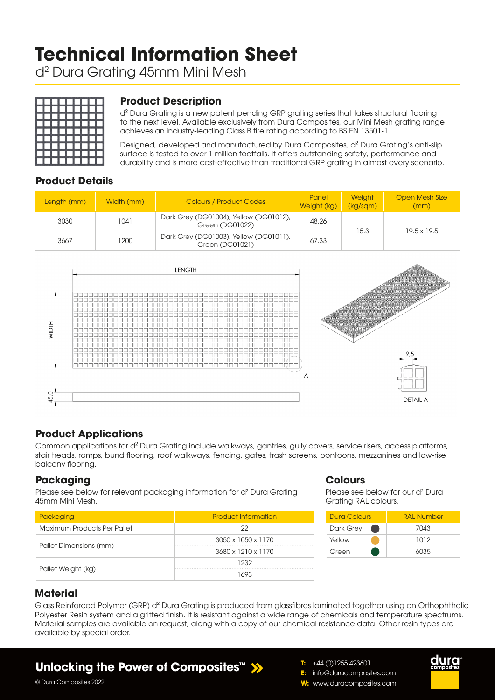# **Technical Information Sheet**

d2 Dura Grating 45mm Mini Mesh



## **Product Description**

d² Dura Grating is a new patent pending GRP grating series that takes structural flooring to the next level. Available exclusively from Dura Composites, our Mini Mesh grating range achieves an industry-leading Class B fire rating according to BS EN 13501-1.

Designed, developed and manufactured by Dura Composites, d² Dura Grating's anti-slip surface is tested to over 1 million footfalls. It offers outstanding safety, performance and durability and is more cost-effective than traditional GRP grating in almost every scenario.

## **Product Details**

| Length (mm) | Width (mm) | <b>Colours / Product Codes</b>                            | Panel<br>Weight (kg) | <b>Weight</b><br>(kg/sgm) | <b>Open Mesh Size</b><br>(mm) |  |
|-------------|------------|-----------------------------------------------------------|----------------------|---------------------------|-------------------------------|--|
| 3030        | 1041       | Dark Grey (DG01004), Yellow (DG01012),<br>Green (DG01022) | 48.26                | 15.3                      | $19.5 \times 19.5$            |  |
| 3667        | 1200       | Dark Grey (DG01003), Yellow (DG01011),<br>Green (DG01021) | 67.33                |                           |                               |  |



## **Product Applications**

Common applications for d² Dura Grating include walkways, gantries, gully covers, service risers, access platforms, stair treads, ramps, bund flooring, roof walkways, fencing, gates, trash screens, pontoons, mezzanines and low-rise balcony flooring.

#### **Packaging**

Please see below for relevant packaging information for d<sup>2</sup> Dura Grating 45mm Mini Mesh.

| Packaging                   | <b>Product Information</b> |  |  |  |
|-----------------------------|----------------------------|--|--|--|
| Maximum Products Per Pallet | 22                         |  |  |  |
|                             | 3050 x 1050 x 1170         |  |  |  |
| Pallet Dimensions (mm)      | 3680 x 1210 x 1170         |  |  |  |
|                             | 1232                       |  |  |  |
| Pallet Weight (kg)          | 1693                       |  |  |  |

#### **Colours**

Please see below for our d<sup>2</sup> Dura Grating RAL colours.



duro

## **Material**

Glass Reinforced Polymer (GRP) d<sup>2</sup> Dura Grating is produced from glassfibres laminated together using an Orthophthalic Polyester Resin system and a gritted finish. It is resistant against a wide range of chemicals and temperature spectrums. Material samples are available on request, along with a copy of our chemical resistance data. Other resin types are available by special order.

## **Unlocking the Power of Composites™**

© Dura Composites 2022

- **T:** +44 (0)1255 423601
- **E:** info@duracomposites.com
- **W:** www.duracomposites.com